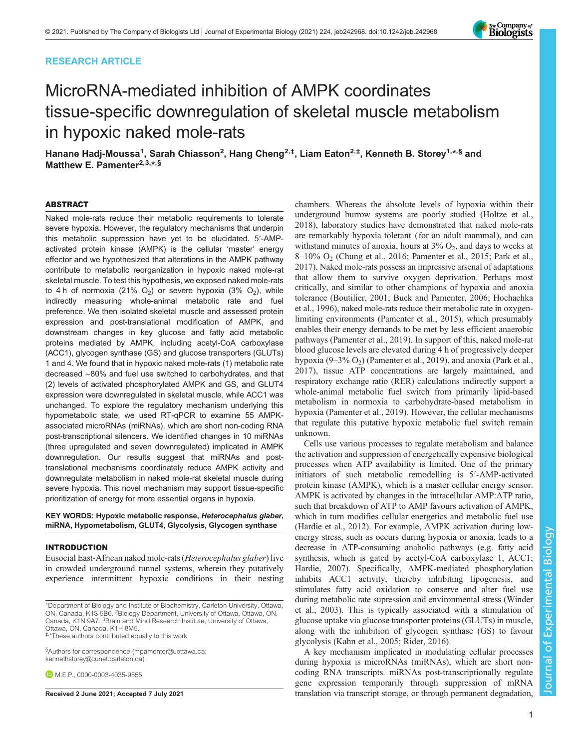# RESEARCH ARTICLE



# MicroRNA-mediated inhibition of AMPK coordinates tissue-specific downregulation of skeletal muscle metabolism in hypoxic naked mole-rats

Hanane Hadj-Moussa<sup>1</sup>, Sarah Chiasson<sup>2</sup>, Hang Cheng<sup>2,‡</sup>, Liam Eaton<sup>2,‡</sup>, Kenneth B. Storey<sup>1,∗,§</sup> and Matthew E. Pamenter<sup>2,3,\*,§</sup>

# ABSTRACT

Naked mole-rats reduce their metabolic requirements to tolerate severe hypoxia. However, the regulatory mechanisms that underpin this metabolic suppression have yet to be elucidated. 5′-AMPactivated protein kinase (AMPK) is the cellular 'master' energy effector and we hypothesized that alterations in the AMPK pathway contribute to metabolic reorganization in hypoxic naked mole-rat skeletal muscle. To test this hypothesis, we exposed naked mole-rats to 4 h of normoxia (21%  $O_2$ ) or severe hypoxia (3%  $O_2$ ), while indirectly measuring whole-animal metabolic rate and fuel preference. We then isolated skeletal muscle and assessed protein expression and post-translational modification of AMPK, and downstream changes in key glucose and fatty acid metabolic proteins mediated by AMPK, including acetyl-CoA carboxylase (ACC1), glycogen synthase (GS) and glucose transporters (GLUTs) 1 and 4. We found that in hypoxic naked mole-rats (1) metabolic rate decreased ∼80% and fuel use switched to carbohydrates, and that (2) levels of activated phosphorylated AMPK and GS, and GLUT4 expression were downregulated in skeletal muscle, while ACC1 was unchanged. To explore the regulatory mechanism underlying this hypometabolic state, we used RT-qPCR to examine 55 AMPKassociated microRNAs (miRNAs), which are short non-coding RNA post-transcriptional silencers. We identified changes in 10 miRNAs (three upregulated and seven downregulated) implicated in AMPK downregulation. Our results suggest that miRNAs and posttranslational mechanisms coordinately reduce AMPK activity and downregulate metabolism in naked mole-rat skeletal muscle during severe hypoxia. This novel mechanism may support tissue-specific prioritization of energy for more essential organs in hypoxia.

KEY WORDS: Hypoxic metabolic response, Heterocephalus glaber, miRNA, Hypometabolism, GLUT4, Glycolysis, Glycogen synthase

# INTRODUCTION

Eusocial East-African naked mole-rats (Heterocephalus glaber) live in crowded underground tunnel systems, wherein they putatively experience intermittent hypoxic conditions in their nesting

<sup>1</sup>Department of Biology and Institute of Biochemistry, Carleton University, Ottawa,<br>ON, Canada, K1S 5B6. <sup>2</sup>Biology Department, University of Ottawa, Ottawa, ON, Canada, K1N 9A7. <sup>3</sup> Brain and Mind Research Institute, University of Ottawa, Ottawa, ON, Canada, K1H 8M5.

‡, \*These authors contributed equally to this work

§ Authors for correspondence [\(mpamenter@uottawa.ca;](mailto:mpamenter@uottawa.ca) [kennethstorey@cunet.carleton.ca\)](mailto:kennethstorey@cunet.carleton.ca)

**D** M.E.P., [0000-0003-4035-9555](http://orcid.org/0000-0003-4035-9555)

chambers. Whereas the absolute levels of hypoxia within their underground burrow systems are poorly studied [\(Holtze et al.,](#page-7-0) [2018\)](#page-7-0), laboratory studies have demonstrated that naked mole-rats are remarkably hypoxia tolerant (for an adult mammal), and can withstand minutes of anoxia, hours at  $3\%$  O<sub>2</sub>, and days to weeks at 8–10% O2 [\(Chung et al., 2016](#page-6-0); [Pamenter et al., 2015](#page-7-0); [Park et al.,](#page-7-0) [2017\)](#page-7-0). Naked mole-rats possess an impressive arsenal of adaptations that allow them to survive oxygen deprivation. Perhaps most critically, and similar to other champions of hypoxia and anoxia tolerance [\(Boutilier, 2001](#page-6-0); [Buck and Pamenter, 2006;](#page-6-0) [Hochachka](#page-7-0) [et al., 1996](#page-7-0)), naked mole-rats reduce their metabolic rate in oxygenlimiting environments ([Pamenter et al., 2015\)](#page-7-0), which presumably enables their energy demands to be met by less efficient anaerobic pathways [\(Pamenter et al., 2019](#page-7-0)). In support of this, naked mole-rat blood glucose levels are elevated during 4 h of progressively deeper hypoxia  $(9-3\% O_2)$  [\(Pamenter et al., 2019](#page-7-0)), and anoxia [\(Park et al.,](#page-7-0) [2017\)](#page-7-0), tissue ATP concentrations are largely maintained, and respiratory exchange ratio (RER) calculations indirectly support a whole-animal metabolic fuel switch from primarily lipid-based metabolism in normoxia to carbohydrate-based metabolism in hypoxia ([Pamenter et al., 2019\)](#page-7-0). However, the cellular mechanisms that regulate this putative hypoxic metabolic fuel switch remain unknown.

Cells use various processes to regulate metabolism and balance the activation and suppression of energetically expensive biological processes when ATP availability is limited. One of the primary initiators of such metabolic remodelling is 5′-AMP-activated protein kinase (AMPK), which is a master cellular energy sensor. AMPK is activated by changes in the intracellular AMP:ATP ratio, such that breakdown of ATP to AMP favours activation of AMPK, which in turn modifies cellular energetics and metabolic fuel use [\(Hardie et al., 2012](#page-7-0)). For example, AMPK activation during lowenergy stress, such as occurs during hypoxia or anoxia, leads to a decrease in ATP-consuming anabolic pathways (e.g. fatty acid synthesis, which is gated by acetyl-CoA carboxylase 1, ACC1; [Hardie, 2007\)](#page-6-0). Specifically, AMPK-mediated phosphorylation inhibits ACC1 activity, thereby inhibiting lipogenesis, and stimulates fatty acid oxidation to conserve and alter fuel use during metabolic rate supression and environmental stress ([Winder](#page-7-0) [et al., 2003](#page-7-0)). This is typically associated with a stimulation of glucose uptake via glucose transporter proteins (GLUTs) in muscle, along with the inhibition of glycogen synthase (GS) to favour glycolysis ([Kahn et al., 2005; Rider, 2016\)](#page-7-0).

A key mechanism implicated in modulating cellular processes during hypoxia is microRNAs (miRNAs), which are short noncoding RNA transcripts. miRNAs post-transcriptionally regulate gene expression temporarily through suppression of mRNA Received 2 June 2021; Accepted 7 July 2021 translation via translation via transcript storage, or through permanent degradation,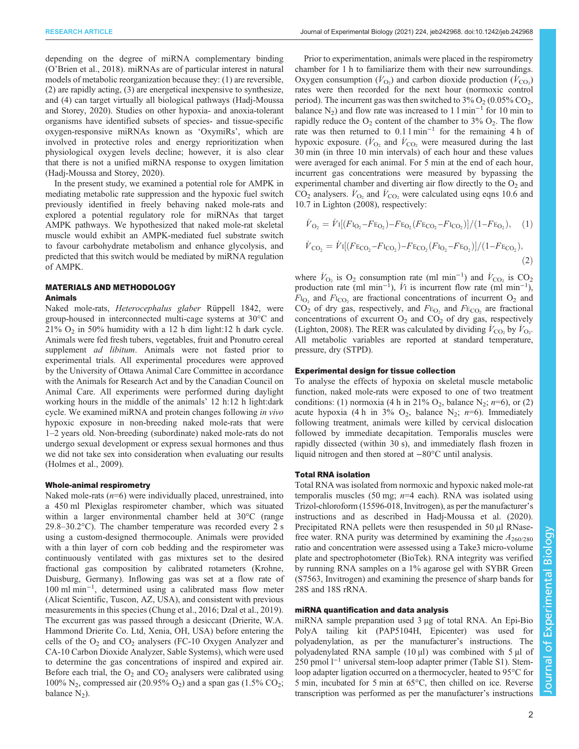depending on the degree of miRNA complementary binding (O'[Brien et al., 2018](#page-7-0)). miRNAs are of particular interest in natural models of metabolic reorganization because they: (1) are reversible, (2) are rapidly acting, (3) are energetical inexpensive to synthesize, and (4) can target virtually all biological pathways [\(Hadj-Moussa](#page-6-0) [and Storey, 2020\)](#page-6-0). Studies on other hypoxia- and anoxia-tolerant organisms have identified subsets of species- and tissue-specific oxygen-responsive miRNAs known as 'OxymiRs', which are involved in protective roles and energy reprioritization when physiological oxygen levels decline; however, it is also clear that there is not a unified miRNA response to oxygen limitation [\(Hadj-Moussa and Storey, 2020\)](#page-6-0).

In the present study, we examined a potential role for AMPK in mediating metabolic rate suppression and the hypoxic fuel switch previously identified in freely behaving naked mole-rats and explored a potential regulatory role for miRNAs that target AMPK pathways. We hypothesized that naked mole-rat skeletal muscle would exhibit an AMPK-mediated fuel substrate switch to favour carbohydrate metabolism and enhance glycolysis, and predicted that this switch would be mediated by miRNA regulation of AMPK.

## MATERIALS AND METHODOLOGY Animals

Naked mole-rats, Heterocephalus glaber Rüppell 1842, were group-housed in interconnected multi-cage systems at 30°C and  $21\%$  O<sub>2</sub> in 50% humidity with a 12 h dim light:12 h dark cycle. Animals were fed fresh tubers, vegetables, fruit and Pronutro cereal supplement *ad libitum*. Animals were not fasted prior to experimental trials. All experimental procedures were approved by the University of Ottawa Animal Care Committee in accordance with the Animals for Research Act and by the Canadian Council on Animal Care. All experiments were performed during daylight working hours in the middle of the animals' 12 h:12 h light:dark cycle. We examined miRNA and protein changes following in vivo hypoxic exposure in non-breeding naked mole-rats that were 1–2 years old. Non-breeding (subordinate) naked mole-rats do not undergo sexual development or express sexual hormones and thus we did not take sex into consideration when evaluating our results [\(Holmes et al., 2009\)](#page-7-0).

# Whole-animal respirometry

Naked mole-rats  $(n=6)$  were individually placed, unrestrained, into a 450 ml Plexiglas respirometer chamber, which was situated within a larger environmental chamber held at 30°C (range 29.8–30.2°C). The chamber temperature was recorded every 2 s using a custom-designed thermocouple. Animals were provided with a thin layer of corn cob bedding and the respirometer was continuously ventilated with gas mixtures set to the desired fractional gas composition by calibrated rotameters (Krohne, Duisburg, Germany). Inflowing gas was set at a flow rate of 100 ml min−<sup>1</sup> , determined using a calibrated mass flow meter (Alicat Scientific, Tuscon, AZ, USA), and consistent with previous measurements in this species ([Chung et al., 2016](#page-6-0); [Dzal et al., 2019\)](#page-6-0). The excurrent gas was passed through a desiccant (Drierite, W.A. Hammond Drierite Co. Ltd, Xenia, OH, USA) before entering the cells of the  $O<sub>2</sub>$  and  $CO<sub>2</sub>$  analyzers (FC-10 Oxygen Analyzer and CA-10 Carbon Dioxide Analyzer, Sable Systems), which were used to determine the gas concentrations of inspired and expired air. Before each trial, the  $O_2$  and  $CO_2$  analysers were calibrated using 100% N<sub>2</sub>, compressed air (20.95% O<sub>2</sub>) and a span gas (1.5% CO<sub>2</sub>; balance  $N_2$ ).

Prior to experimentation, animals were placed in the respirometry chamber for 1 h to familiarize them with their new surroundings. Oxygen consumption  $(\dot{V}_{\text{O}_2})$  and carbon dioxide production  $(\dot{V}_{\text{CO}_2})$ rates were then recorded for the next hour (normoxic control period). The incurrent gas was then switched to  $3\%$  O<sub>2</sub> (0.05% CO<sub>2</sub>, balance N<sub>2</sub>) and flow rate was increased to 1 l min<sup>-1</sup> for 10 min to rapidly reduce the  $O_2$  content of the chamber to 3%  $O_2$ . The flow rate was then returned to 0.1 l min−<sup>1</sup> for the remaining 4 h of hypoxic exposure. ( $\dot{V}_{\text{O}_2}$  and  $\dot{V}_{\text{CO}_2}$  were measured during the last 30 min (in three 10 min intervals) of each hour and these values were averaged for each animal. For 5 min at the end of each hour, incurrent gas concentrations were measured by bypassing the experimental chamber and diverting air flow directly to the  $O<sub>2</sub>$  and  $CO_2$  analysers.  $\dot{V}_{\text{O}_2}$  and  $\dot{V}_{\text{CO}_2}$  were calculated using eqns 10.6 and 10.7 in [Lighton \(2008\)](#page-7-0), respectively:

$$
\dot{V}_{\text{O}_2} = \dot{V}I[(F_{\text{IO}_2} - F_{\text{EO}_2}) - F_{\text{EO}_2}(F_{\text{ECO}_2} - F_{\text{ICO}_2})]/(1 - F_{\text{EO}_2}), \quad (1)
$$

$$
\dot{V}_{\text{CO}_2} = \dot{V}I[(F_{\text{ECO}_2} - F_{\text{ICO}_2}) - F_{\text{ECO}_2}(F_{\text{O}_2} - F_{\text{EO}_2})]/(1 - F_{\text{ECO}_2}),
$$
\n(2)

where  $\dot{V}_{\text{O}_2}$  is  $\text{O}_2$  consumption rate (ml min<sup>-1</sup>) and  $\dot{V}_{\text{CO}_2}$  is  $\text{CO}_2$ production rate (ml min<sup>-1</sup>),  $\dot{V}$  is incurrent flow rate (ml min<sup>-1</sup>),  $F_{\text{IO}_2}$  and  $F_{\text{ICO}_2}$  are fractional concentrations of incurrent  $O_2$  and  $CO<sub>2</sub>$  of dry gas, respectively, and  $F<sub>EO</sub>$  and  $F<sub>ECO</sub>$  are fractional concentrations of excurrent  $O_2$  and  $CO_2$  of dry gas, respectively [\(Lighton, 2008\)](#page-7-0). The RER was calculated by dividing  $\dot{V}_{\text{CO}_2}$  by  $\dot{V}_{\text{O}_2}$ . All metabolic variables are reported at standard temperature, pressure, dry (STPD).

## Experimental design for tissue collection

To analyse the effects of hypoxia on skeletal muscle metabolic function, naked mole-rats were exposed to one of two treatment conditions: (1) normoxia (4 h in 21%  $O_2$ , balance N<sub>2</sub>; n=6), or (2) acute hypoxia (4 h in 3%  $O_2$ , balance N<sub>2</sub>; n=6). Immediately following treatment, animals were killed by cervical dislocation followed by immediate decapitation. Temporalis muscles were rapidly dissected (within 30 s), and immediately flash frozen in liquid nitrogen and then stored at −80°C until analysis.

## Total RNA isolation

Total RNA was isolated from normoxic and hypoxic naked mole-rat temporalis muscles (50 mg;  $n=4$  each). RNA was isolated using Trizol-chloroform (15596-018, Invitrogen), as per the manufacturer's instructions and as described in [Hadj-Moussa et al. \(2020\).](#page-6-0) Precipitated RNA pellets were then resuspended in 50 µl RNasefree water. RNA purity was determined by examining the  $A_{260/280}$ ratio and concentration were assessed using a Take3 micro-volume plate and spectrophotometer (BioTek). RNA integrity was verified by running RNA samples on a 1% agarose gel with SYBR Green (S7563, Invitrogen) and examining the presence of sharp bands for 28S and 18S rRNA.

# miRNA quantification and data analysis

miRNA sample preparation used 3 µg of total RNA. An Epi-Bio PolyA tailing kit (PAP5104H, Epicenter) was used for polyadenylation, as per the manufacturer's instructions. The polyadenylated RNA sample  $(10 \mu l)$  was combined with 5  $\mu$ l of 250 pmol l<sup>-1</sup> universal stem-loop adapter primer [\(Table S1\)](https://journals.biologists.com/jeb/article-lookup/DOI/10.1242/jeb.242968). Stemloop adapter ligation occurred on a thermocycler, heated to 95°C for 5 min, incubated for 5 min at 65°C, then chilled on ice. Reverse transcription was performed as per the manufacturer's instructions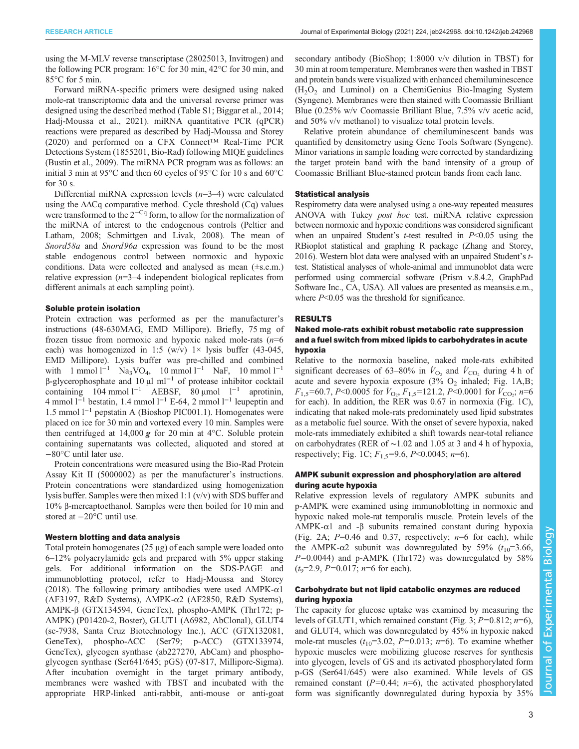using the M-MLV reverse transcriptase (28025013, Invitrogen) and the following PCR program: 16°C for 30 min, 42°C for 30 min, and 85°C for 5 min.

Forward miRNA-specific primers were designed using naked mole-rat transcriptomic data and the universal reverse primer was designed using the described method [\(Table S1](https://journals.biologists.com/jeb/article-lookup/DOI/10.1242/jeb.242968); [Biggar et al., 2014](#page-6-0); [Hadj-Moussa et al., 2021](#page-6-0)). miRNA quantitative PCR (qPCR) reactions were prepared as described by [Hadj-Moussa and Storey](#page-6-0) [\(2020\)](#page-6-0) and performed on a CFX Connect<sup>TM</sup> Real-Time PCR Detections System (1855201, Bio-Rad) following MIQE guidelines [\(Bustin et al., 2009\)](#page-6-0). The miRNA PCR program was as follows: an initial 3 min at 95°C and then 60 cycles of 95°C for 10 s and 60°C for 30 s.

Differential miRNA expression levels  $(n=3-4)$  were calculated using the  $\Delta\Delta Cq$  comparative method. Cycle threshold (Cq) values were transformed to the  $2^{-Cq}$  form, to allow for the normalization of the miRNA of interest to the endogenous controls ([Peltier and](#page-7-0) [Latham, 2008](#page-7-0); [Schmittgen and Livak, 2008](#page-7-0)). The mean of Snord58a and Snord96a expression was found to be the most stable endogenous control between normoxic and hypoxic conditions. Data were collected and analysed as mean (±s.e.m.) relative expression  $(n=3-4)$  independent biological replicates from different animals at each sampling point).

## Soluble protein isolation

Protein extraction was performed as per the manufacturer's instructions (48-630MAG, EMD Millipore). Briefly, 75 mg of frozen tissue from normoxic and hypoxic naked mole-rats  $(n=6)$ each) was homogenized in 1:5 (w/v)  $1 \times$  lysis buffer (43-045, EMD Millipore). Lysis buffer was pre-chilled and combined with 1 mmol  $l^{-1}$  Na<sub>3</sub>VO<sub>4</sub>, 10 mmol  $l^{-1}$  NaF, 10 mmol  $l^{-1}$  $β$ -glycerophosphate and 10 μl ml<sup>-1</sup> of protease inhibitor cocktail containing 104 mmol  $l^{-1}$  AEBSF, 80 µmol  $l^{-1}$  aprotinin, 4 mmol  $1^{-1}$  bestatin, 1.4 mmol  $1^{-1}$  E-64, 2 mmol  $1^{-1}$  leupeptin and 1.5 mmol l−<sup>1</sup> pepstatin A (Bioshop PIC001.1). Homogenates were placed on ice for 30 min and vortexed every 10 min. Samples were then centrifuged at 14,000  $g$  for 20 min at 4°C. Soluble protein containing supernatants was collected, aliquoted and stored at −80°C until later use.

Protein concentrations were measured using the Bio-Rad Protein Assay Kit II (5000002) as per the manufacturer's instructions. Protein concentrations were standardized using homogenization lysis buffer. Samples were then mixed 1:1 (v/v) with SDS buffer and 10% β-mercaptoethanol. Samples were then boiled for 10 min and stored at −20°C until use.

## Western blotting and data analysis

Total protein homogenates (25 µg) of each sample were loaded onto 6–12% polyacrylamide gels and prepared with 5% upper staking gels. For additional information on the SDS-PAGE and immunoblotting protocol, refer to [Hadj-Moussa and Storey](#page-6-0) [\(2018\)](#page-6-0). The following primary antibodies were used  $AMPK-\alpha1$ (AF3197, R&D Systems), AMPK-α2 (AF2850, R&D Systems), AMPK-β (GTX134594, GeneTex), phospho-AMPK (Thr172; p-AMPK) (P01420-2, Boster), GLUT1 (A6982, AbClonal), GLUT4 (sc-7938, Santa Cruz Biotechnology Inc.), ACC (GTX132081, GeneTex), phospho-ACC (Ser79; p-ACC) (GTX133974, GeneTex), glycogen synthase (ab227270, AbCam) and phosphoglycogen synthase (Ser641/645; pGS) (07-817, Millipore-Sigma). After incubation overnight in the target primary antibody, membranes were washed with TBST and incubated with the appropriate HRP-linked anti-rabbit, anti-mouse or anti-goat

secondary antibody (BioShop; 1:8000 v/v dilution in TBST) for 30 min at room temperature. Membranes were then washed in TBST and protein bands were visualized with enhanced chemiluminescence  $(H<sub>2</sub>O<sub>2</sub>)$  and Luminol) on a ChemiGenius Bio-Imaging System (Syngene). Membranes were then stained with Coomassie Brilliant Blue (0.25% w/v Coomassie Brilliant Blue, 7.5% v/v acetic acid, and 50% v/v methanol) to visualize total protein levels.

Relative protein abundance of chemiluminescent bands was quantified by densitometry using Gene Tools Software (Syngene). Minor variations in sample loading were corrected by standardizing the target protein band with the band intensity of a group of Coomassie Brilliant Blue-stained protein bands from each lane.

## Statistical analysis

Respirometry data were analysed using a one-way repeated measures ANOVA with Tukey post hoc test. miRNA relative expression between normoxic and hypoxic conditions was considered significant when an unpaired Student's  $t$ -test resulted in  $P<0.05$  using the RBioplot statistical and graphing R package [\(Zhang and Storey,](#page-7-0) [2016](#page-7-0)). Western blot data were analysed with an unpaired Student's ttest. Statistical analyses of whole-animal and immunoblot data were performed using commercial software (Prism v.8.4.2, GraphPad Software Inc., CA, USA). All values are presented as means±s.e.m., where  $P<0.05$  was the threshold for significance.

#### RESULTS

# Naked mole-rats exhibit robust metabolic rate suppression and a fuel switch from mixed lipids to carbohydrates in acute hypoxia

Relative to the normoxia baseline, naked mole-rats exhibited significant decreases of 63–80% in  $\dot{V}_{\text{O}_2}$  and  $\dot{V}_{\text{CO}_2}$  during 4 h of acute and severe hypoxia exposure  $(3\% \text{ O}_2 \text{ inhaled}; \text{Fig. 1A,B};$  $F_{1,5}$ =60.7, P<0.0005 for  $\dot{V}_{\text{O}_2}$ ,  $F_{1,5}$ =121.2, P<0.0001 for  $\dot{V}_{\text{CO}_2}$ ; n=6 for each). In addition, the RER was 0.67 in normoxia ([Fig. 1](#page-3-0)C), indicating that naked mole-rats predominately used lipid substrates as a metabolic fuel source. With the onset of severe hypoxia, naked mole-rats immediately exhibited a shift towards near-total reliance on carbohydrates (RER of ∼1.02 and 1.05 at 3 and 4 h of hypoxia, respectively; [Fig. 1C](#page-3-0);  $F_{1.5} = 9.6$ ,  $P \le 0.0045$ ;  $n=6$ ).

# AMPK subunit expression and phosphorylation are altered during acute hypoxia

Relative expression levels of regulatory AMPK subunits and p-AMPK were examined using immunoblotting in normoxic and hypoxic naked mole-rat temporalis muscle. Protein levels of the AMPK-α1 and -β subunits remained constant during hypoxia [\(Fig. 2A](#page-4-0);  $P=0.46$  and 0.37, respectively;  $n=6$  for each), while the AMPK- $\alpha$ 2 subunit was downregulated by 59% ( $t_{10}$ =3.66,  $P=0.0044$ ) and p-AMPK (Thr172) was downregulated by 58%  $(t<sub>9</sub>=2.9, P=0.017; n=6$  for each).

# Carbohydrate but not lipid catabolic enzymes are reduced during hypoxia

The capacity for glucose uptake was examined by measuring the levels of GLUT1, which remained constant [\(Fig. 3;](#page-4-0)  $P=0.812$ ;  $n=6$ ), and GLUT4, which was downregulated by 45% in hypoxic naked mole-rat muscles  $(t_{10}=3.02, P=0.013; n=6)$ . To examine whether hypoxic muscles were mobilizing glucose reserves for synthesis into glycogen, levels of GS and its activated phosphorylated form p-GS (Ser641/645) were also examined. While levels of GS remained constant ( $P=0.44$ ;  $n=6$ ), the activated phosphorylated form was significantly downregulated during hypoxia by 35%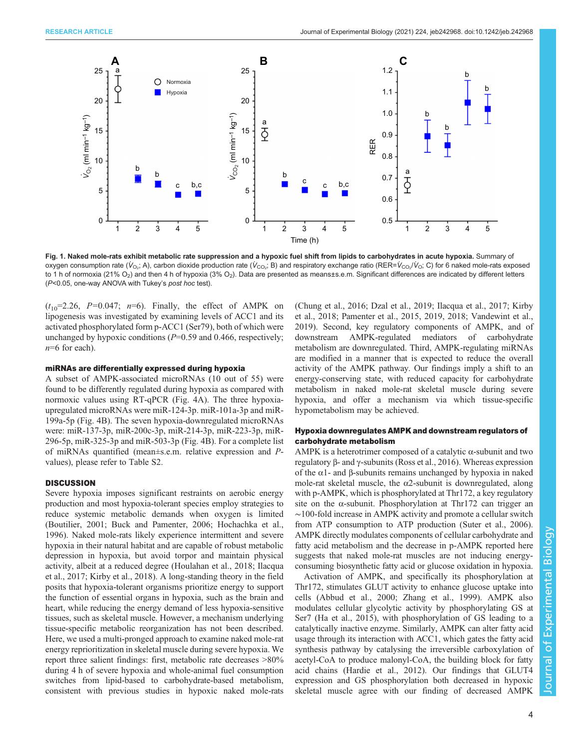<span id="page-3-0"></span>

Fig. 1. Naked mole-rats exhibit metabolic rate suppression and a hypoxic fuel shift from lipids to carbohydrates in acute hypoxia. Summary of oxygen consumption rate (V<sub>O2</sub>; A), carbon dioxide production rate (V<sub>CO2</sub>; B) and respiratory exchange ratio (RER=V<sub>CO2</sub>/V<sub>O</sub>; C) for 6 naked mole-rats exposed to 1 h of normoxia (21% O<sub>2</sub>) and then 4 h of hypoxia (3% O<sub>2</sub>). Data are presented as means±s.e.m. Significant differences are indicated by different letters (P<0.05, one-way ANOVA with Tukey's post hoc test).

 $(t_{10}=2.26, P=0.047; n=6)$ . Finally, the effect of AMPK on lipogenesis was investigated by examining levels of ACC1 and its activated phosphorylated form p-ACC1 (Ser79), both of which were unchanged by hypoxic conditions  $(P=0.59$  and 0.466, respectively;  $n=6$  for each).

#### miRNAs are differentially expressed during hypoxia

A subset of AMPK-associated microRNAs (10 out of 55) were found to be differently regulated during hypoxia as compared with normoxic values using RT-qPCR [\(Fig. 4](#page-5-0)A). The three hypoxiaupregulated microRNAs were miR-124-3p. miR-101a-3p and miR-199a-5p ([Fig. 4](#page-5-0)B). The seven hypoxia-downregulated microRNAs were: miR-137-3p, miR-200c-3p, miR-214-3p, miR-223-3p, miR-296-5p, miR-325-3p and miR-503-3p [\(Fig. 4](#page-5-0)B). For a complete list of miRNAs quantified (mean±s.e.m. relative expression and Pvalues), please refer to [Table S2](https://journals.biologists.com/jeb/article-lookup/DOI/10.1242/jeb.242968).

# **DISCUSSION**

Severe hypoxia imposes significant restraints on aerobic energy production and most hypoxia-tolerant species employ strategies to reduce systemic metabolic demands when oxygen is limited [\(Boutilier, 2001; Buck and Pamenter, 2006;](#page-6-0) [Hochachka et al.,](#page-7-0) [1996](#page-7-0)). Naked mole-rats likely experience intermittent and severe hypoxia in their natural habitat and are capable of robust metabolic depression in hypoxia, but avoid torpor and maintain physical activity, albeit at a reduced degree [\(Houlahan et al., 2018](#page-7-0); [Ilacqua](#page-7-0) [et al., 2017](#page-7-0); [Kirby et al., 2018](#page-7-0)). A long-standing theory in the field posits that hypoxia-tolerant organisms prioritize energy to support the function of essential organs in hypoxia, such as the brain and heart, while reducing the energy demand of less hypoxia-sensitive tissues, such as skeletal muscle. However, a mechanism underlying tissue-specific metabolic reorganization has not been described. Here, we used a multi-pronged approach to examine naked mole-rat energy reprioritization in skeletal muscle during severe hypoxia. We report three salient findings: first, metabolic rate decreases >80% during 4 h of severe hypoxia and whole-animal fuel consumption switches from lipid-based to carbohydrate-based metabolism, consistent with previous studies in hypoxic naked mole-rats

[\(Chung et al., 2016; Dzal et al., 2019;](#page-6-0) [Ilacqua et al., 2017](#page-7-0); [Kirby](#page-7-0) [et al., 2018; Pamenter et al., 2015](#page-7-0), [2019, 2018; Vandewint et al.,](#page-7-0) [2019\)](#page-7-0). Second, key regulatory components of AMPK, and of downstream AMPK-regulated mediators of carbohydrate metabolism are downregulated. Third, AMPK-regulating miRNAs are modified in a manner that is expected to reduce the overall activity of the AMPK pathway. Our findings imply a shift to an energy-conserving state, with reduced capacity for carbohydrate metabolism in naked mole-rat skeletal muscle during severe hypoxia, and offer a mechanism via which tissue-specific hypometabolism may be achieved.

# Hypoxia downregulates AMPK and downstream regulators of carbohydrate metabolism

AMPK is a heterotrimer composed of a catalytic α-subunit and two regulatory β- and γ-subunits [\(Ross et al., 2016](#page-7-0)). Whereas expression of the α1- and β-subunits remains unchanged by hypoxia in naked mole-rat skeletal muscle, the  $\alpha$ 2-subunit is downregulated, along with p-AMPK, which is phosphorylated at Thr172, a key regulatory site on the α-subunit. Phosphorylation at Thr172 can trigger an ∼100-fold increase in AMPK activity and promote a cellular switch from ATP consumption to ATP production [\(Suter et al., 2006\)](#page-7-0). AMPK directly modulates components of cellular carbohydrate and fatty acid metabolism and the decrease in p-AMPK reported here suggests that naked mole-rat muscles are not inducing energyconsuming biosynthetic fatty acid or glucose oxidation in hypoxia.

Activation of AMPK, and specifically its phosphorylation at Thr172, stimulates GLUT activity to enhance glucose uptake into cells ([Abbud et al., 2000](#page-6-0); [Zhang et al., 1999\)](#page-7-0). AMPK also modulates cellular glycolytic activity by phosphorylating GS at Ser7 [\(Ha et al., 2015](#page-6-0)), with phosphorylation of GS leading to a catalytically inactive enzyme. Similarly, AMPK can alter fatty acid usage through its interaction with ACC1, which gates the fatty acid synthesis pathway by catalysing the irreversible carboxylation of acetyl-CoA to produce malonyl-CoA, the building block for fatty acid chains [\(Hardie et al., 2012](#page-7-0)). Our findings that GLUT4 expression and GS phosphorylation both decreased in hypoxic skeletal muscle agree with our finding of decreased AMPK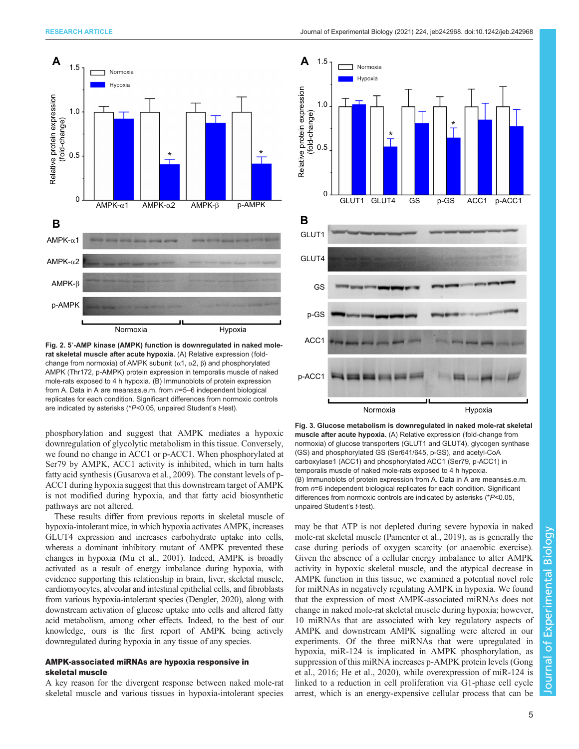<span id="page-4-0"></span>

Fig. 2. 5′-AMP kinase (AMPK) function is downregulated in naked molerat skeletal muscle after acute hypoxia. (A) Relative expression (foldchange from normoxia) of AMPK subunit  $(α1, α2, β)$  and phosphorylated AMPK (Thr172, p-AMPK) protein expression in temporalis muscle of naked mole-rats exposed to 4 h hypoxia. (B) Immunoblots of protein expression from A. Data in A are means $\pm$ s.e.m. from  $n=5-6$  independent biological replicates for each condition. Significant differences from normoxic controls are indicated by asterisks (\*P<0.05, unpaired Student's t-test).

phosphorylation and suggest that AMPK mediates a hypoxic downregulation of glycolytic metabolism in this tissue. Conversely, we found no change in ACC1 or p-ACC1. When phosphorylated at Ser79 by AMPK, ACC1 activity is inhibited, which in turn halts fatty acid synthesis [\(Gusarova et al., 2009\)](#page-6-0). The constant levels of p-ACC1 during hypoxia suggest that this downstream target of AMPK is not modified during hypoxia, and that fatty acid biosynthetic pathways are not altered.

These results differ from previous reports in skeletal muscle of hypoxia-intolerant mice, in which hypoxia activates AMPK, increases GLUT4 expression and increases carbohydrate uptake into cells, whereas a dominant inhibitory mutant of AMPK prevented these changes in hypoxia [\(Mu et al., 2001\)](#page-7-0). Indeed, AMPK is broadly activated as a result of energy imbalance during hypoxia, with evidence supporting this relationship in brain, liver, skeletal muscle, cardiomyocytes, alveolar and intestinal epithelial cells, and fibroblasts from various hypoxia-intolerant species ([Dengler, 2020\)](#page-6-0), along with downstream activation of glucose uptake into cells and altered fatty acid metabolism, among other effects. Indeed, to the best of our knowledge, ours is the first report of AMPK being actively downregulated during hypoxia in any tissue of any species.

# AMPK-associated miRNAs are hypoxia responsive in skeletal muscle

A key reason for the divergent response between naked mole-rat skeletal muscle and various tissues in hypoxia-intolerant species



Fig. 3. Glucose metabolism is downregulated in naked mole-rat skeletal muscle after acute hypoxia. (A) Relative expression (fold-change from normoxia) of glucose transporters (GLUT1 and GLUT4), glycogen synthase (GS) and phosphorylated GS (Ser641/645, p-GS), and acetyl-CoA carboxylase1 (ACC1) and phosphorylated ACC1 (Ser79, p-ACC1) in temporalis muscle of naked mole-rats exposed to 4 h hypoxia. (B) Immunoblots of protein expression from A. Data in A are means±s.e.m. from n=6 independent biological replicates for each condition. Significant differences from normoxic controls are indicated by asterisks (\*P<0.05, unpaired Student's t-test).

may be that ATP is not depleted during severe hypoxia in naked mole-rat skeletal muscle ([Pamenter et al., 2019](#page-7-0)), as is generally the case during periods of oxygen scarcity (or anaerobic exercise). Given the absence of a cellular energy imbalance to alter AMPK activity in hypoxic skeletal muscle, and the atypical decrease in AMPK function in this tissue, we examined a potential novel role for miRNAs in negatively regulating AMPK in hypoxia. We found that the expression of most AMPK-associated miRNAs does not change in naked mole-rat skeletal muscle during hypoxia; however, 10 miRNAs that are associated with key regulatory aspects of AMPK and downstream AMPK signalling were altered in our experiments. Of the three miRNAs that were upregulated in hypoxia, miR-124 is implicated in AMPK phosphorylation, as suppression of this miRNA increases p-AMPK protein levels ([Gong](#page-6-0) [et al., 2016](#page-6-0); [He et al., 2020\)](#page-7-0), while overexpression of miR-124 is linked to a reduction in cell proliferation via G1-phase cell cycle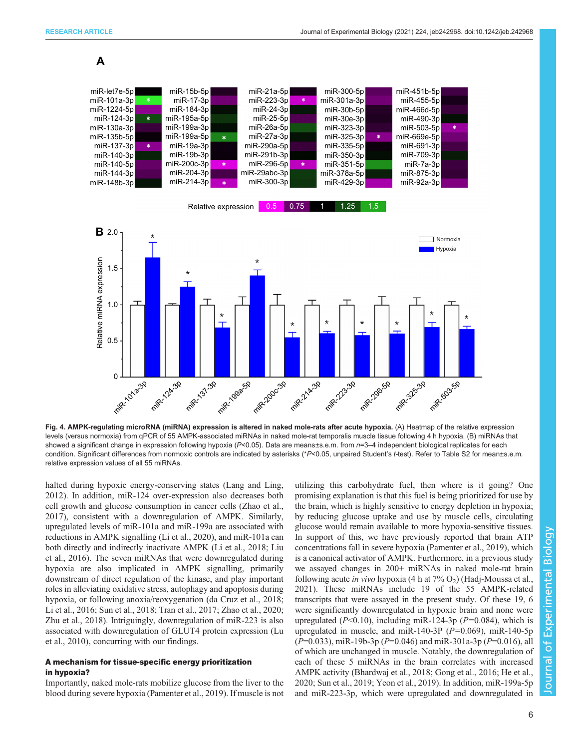<span id="page-5-0"></span>

Fig. 4. AMPK-regulating microRNA (miRNA) expression is altered in naked mole-rats after acute hypoxia. (A) Heatmap of the relative expression levels (versus normoxia) from qPCR of 55 AMPK-associated miRNAs in naked mole-rat temporalis muscle tissue following 4 h hypoxia. (B) miRNAs that showed a significant change in expression following hypoxia (P<0.05). Data are means±s.e.m. from  $n=3-4$  independent biological replicates for each condition. Significant differences from normoxic controls are indicated by asterisks (\*P<0.05, unpaired Student's t-test). Refer to [Table S2](https://journals.biologists.com/jeb/article-lookup/DOI/10.1242/jeb.242968) for mean±s.e.m. relative expression values of all 55 miRNAs.

halted during hypoxic energy-conserving states [\(Lang and Ling,](#page-7-0) [2012](#page-7-0)). In addition, miR-124 over-expression also decreases both cell growth and glucose consumption in cancer cells [\(Zhao et al.,](#page-7-0) [2017](#page-7-0)), consistent with a downregulation of AMPK. Similarly, upregulated levels of miR-101a and miR-199a are associated with reductions in AMPK signalling [\(Li et al., 2020](#page-7-0)), and miR-101a can both directly and indirectly inactivate AMPK ([Li et al., 2018](#page-7-0); [Liu](#page-7-0) [et al., 2016\)](#page-7-0). The seven miRNAs that were downregulated during hypoxia are also implicated in AMPK signalling, primarily downstream of direct regulation of the kinase, and play important roles in alleviating oxidative stress, autophagy and apoptosis during hypoxia, or following anoxia/reoxygenation [\(da Cruz et al., 2018](#page-6-0); [Li et al., 2016](#page-7-0); [Sun et al., 2018; Tran et al., 2017](#page-7-0); [Zhao et al., 2020](#page-7-0); [Zhu et al., 2018\)](#page-7-0). Intriguingly, downregulation of miR-223 is also associated with downregulation of GLUT4 protein expression [\(Lu](#page-7-0) [et al., 2010\)](#page-7-0), concurring with our findings.

# A mechanism for tissue-specific energy prioritization in hypoxia?

Importantly, naked mole-rats mobilize glucose from the liver to the blood during severe hypoxia ([Pamenter et al., 2019](#page-7-0)). If muscle is not utilizing this carbohydrate fuel, then where is it going? One promising explanation is that this fuel is being prioritized for use by the brain, which is highly sensitive to energy depletion in hypoxia; by reducing glucose uptake and use by muscle cells, circulating glucose would remain available to more hypoxia-sensitive tissues. In support of this, we have previously reported that brain ATP concentrations fall in severe hypoxia [\(Pamenter et al., 2019](#page-7-0)), which is a canonical activator of AMPK. Furthermore, in a previous study we assayed changes in 200+ miRNAs in naked mole-rat brain following acute in vivo hypoxia (4 h at  $7\%$  O<sub>2</sub>) ([Hadj-Moussa et al.,](#page-6-0) [2021\)](#page-6-0). These miRNAs include 19 of the 55 AMPK-related transcripts that were assayed in the present study. Of these 19, 6 were significantly downregulated in hypoxic brain and none were upregulated ( $P<0.10$ ), including miR-124-3p ( $P=0.084$ ), which is upregulated in muscle, and miR-140-3P  $(P=0.069)$ , miR-140-5p  $(P=0.033)$ , miR-19b-3p  $(P=0.046)$  and miR-301a-3p  $(P=0.016)$ , all of which are unchanged in muscle. Notably, the downregulation of each of these 5 miRNAs in the brain correlates with increased AMPK activity ([Bhardwaj et al., 2018](#page-6-0); [Gong et al., 2016](#page-6-0); [He et al.,](#page-7-0) [2020; Sun et al., 2019](#page-7-0); [Yeon et al., 2019](#page-7-0)). In addition, miR-199a-5p and miR-223-3p, which were upregulated and downregulated in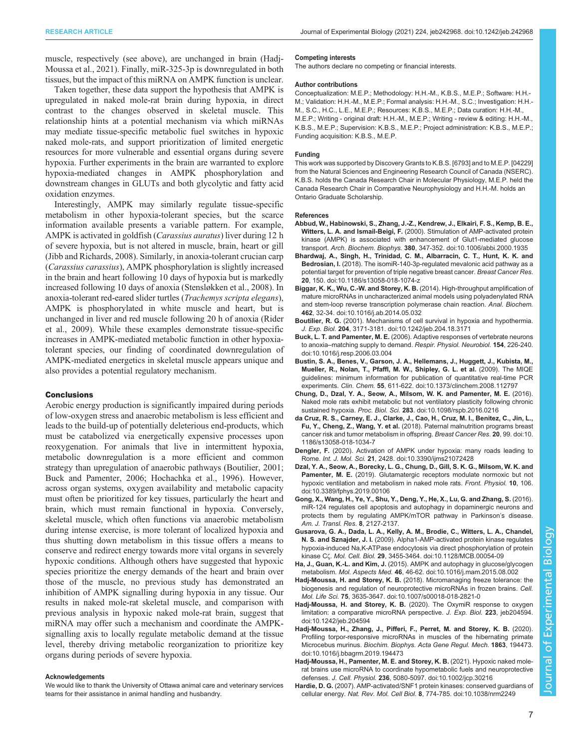<span id="page-6-0"></span>muscle, respectively (see above), are unchanged in brain (Hadj-Moussa et al., 2021). Finally, miR-325-3p is downregulated in both tissues, but the impact of this miRNA on AMPK function is unclear.

Taken together, these data support the hypothesis that AMPK is upregulated in naked mole-rat brain during hypoxia, in direct contrast to the changes observed in skeletal muscle. This relationship hints at a potential mechanism via which miRNAs may mediate tissue-specific metabolic fuel switches in hypoxic naked mole-rats, and support prioritization of limited energetic resources for more vulnerable and essential organs during severe hypoxia. Further experiments in the brain are warranted to explore hypoxia-mediated changes in AMPK phosphorylation and downstream changes in GLUTs and both glycolytic and fatty acid oxidation enzymes.

Interestingly, AMPK may similarly regulate tissue-specific metabolism in other hypoxia-tolerant species, but the scarce information available presents a variable pattern. For example, AMPK is activated in goldfish (Carassius auratus) liver during 12 h of severe hypoxia, but is not altered in muscle, brain, heart or gill [\(Jibb and Richards, 2008\)](#page-7-0). Similarly, in anoxia-tolerant crucian carp (Carassius carassius), AMPK phosphorylation is slightly increased in the brain and heart following 10 days of hypoxia but is markedly increased following 10 days of anoxia [\(Stensløkken et al., 2008\)](#page-7-0). In anoxia-tolerant red-eared slider turtles (Trachemys scripta elegans), AMPK is phosphorylated in white muscle and heart, but is unchanged in liver and red muscle following 20 h of anoxia [\(Rider](#page-7-0) [et al., 2009\)](#page-7-0). While these examples demonstrate tissue-specific increases in AMPK-mediated metabolic function in other hypoxiatolerant species, our finding of coordinated downregulation of AMPK-mediated energetics in skeletal muscle appears unique and also provides a potential regulatory mechanism.

## **Conclusions**

Aerobic energy production is significantly impaired during periods of low-oxygen stress and anaerobic metabolism is less efficient and leads to the build-up of potentially deleterious end-products, which must be catabolized via energetically expensive processes upon reoxygenation. For animals that live in intermittent hypoxia, metabolic downregulation is a more efficient and common strategy than upregulation of anaerobic pathways (Boutilier, 2001; Buck and Pamenter, 2006; [Hochachka et al., 1996](#page-7-0)). However, across organ systems, oxygen availability and metabolic capacity must often be prioritized for key tissues, particularly the heart and brain, which must remain functional in hypoxia. Conversely, skeletal muscle, which often functions via anaerobic metabolism during intense exercise, is more tolerant of localized hypoxia and thus shutting down metabolism in this tissue offers a means to conserve and redirect energy towards more vital organs in severely hypoxic conditions. Although others have suggested that hypoxic species prioritize the energy demands of the heart and brain over those of the muscle, no previous study has demonstrated an inhibition of AMPK signalling during hypoxia in any tissue. Our results in naked mole-rat skeletal muscle, and comparison with previous analysis in hypoxic naked mole-rat brain, suggest that miRNA may offer such a mechanism and coordinate the AMPKsignalling axis to locally regulate metabolic demand at the tissue level, thereby driving metabolic reorganization to prioritize key organs during periods of severe hypoxia.

#### Acknowledgements

We would like to thank the University of Ottawa animal care and veterinary services teams for their assistance in animal handling and husbandry.

#### Competing interests

The authors declare no competing or financial interests.

#### Author contributions

Conceptualization: M.E.P.; Methodology: H.H.-M., K.B.S., M.E.P.; Software: H.H.- M.; Validation: H.H.-M., M.E.P.; Formal analysis: H.H.-M., S.C.; Investigation: H.H.- M., S.C., H.C., L.E., M.E.P.; Resources: K.B.S., M.E.P.; Data curation: H.H.-M., M.E.P.; Writing - original draft: H.H.-M., M.E.P.; Writing - review & editing: H.H.-M., K.B.S., M.E.P.; Supervision: K.B.S., M.E.P.; Project administration: K.B.S., M.E.P.; Funding acquisition: K.B.S., M.E.P.

#### Funding

This work was supported by Discovery Grants to K.B.S. [6793] and to M.E.P. [04229] from the Natural Sciences and Engineering Research Council of Canada (NSERC). K.B.S. holds the Canada Research Chair in Molecular Physiology, M.E.P. held the Canada Research Chair in Comparative Neurophysiology and H.H.-M. holds an Ontario Graduate Scholarship.

#### References

- [Abbud, W., Habinowski, S., Zhang, J.-Z., Kendrew, J., Elkairi, F. S., Kemp, B. E.,](https://doi.org/10.1006/abbi.2000.1935) Witters, L. A. and Ismail-Beigi, F. [\(2000\). Stimulation of AMP-activated protein](https://doi.org/10.1006/abbi.2000.1935) [kinase \(AMPK\) is associated with enhancement of Glut1-mediated glucose](https://doi.org/10.1006/abbi.2000.1935) transport. Arch. Biochem. Biophys. 380[, 347-352. doi:10.1006/abbi.2000.1935](https://doi.org/10.1006/abbi.2000.1935)
- [Bhardwaj, A., Singh, H., Trinidad, C. M., Albarracin, C. T., Hunt, K. K. and](https://doi.org/10.1186/s13058-018-1074-z) Bedrosian, I. [\(2018\). The isomiR-140-3p-regulated mevalonic acid pathway as a](https://doi.org/10.1186/s13058-018-1074-z) [potential target for prevention of triple negative breast cancer.](https://doi.org/10.1186/s13058-018-1074-z) Breast Cancer Res. 20[, 150. doi:10.1186/s13058-018-1074-z](https://doi.org/10.1186/s13058-018-1074-z)
- [Biggar, K. K., Wu, C.-W. and Storey, K. B.](https://doi.org/10.1016/j.ab.2014.05.032) (2014). High-throughput amplification of [mature microRNAs in uncharacterized animal models using polyadenylated RNA](https://doi.org/10.1016/j.ab.2014.05.032) [and stem-loop reverse transcription polymerase chain reaction.](https://doi.org/10.1016/j.ab.2014.05.032) Anal. Biochem. 462[, 32-34. doi:10.1016/j.ab.2014.05.032](https://doi.org/10.1016/j.ab.2014.05.032)
- Boutilier, R. G. [\(2001\). Mechanisms of cell survival in hypoxia and hypothermia.](https://doi.org/10.1242/jeb.204.18.3171) J. Exp. Biol. 204[, 3171-3181. doi:10.1242/jeb.204.18.3171](https://doi.org/10.1242/jeb.204.18.3171)
- Buck, L. T. and Pamenter, M. E. [\(2006\). Adaptive responses of vertebrate neurons](https://doi.org/10.1016/j.resp.2006.03.004) to anoxia–[matching supply to demand.](https://doi.org/10.1016/j.resp.2006.03.004) Respir. Physiol. Neurobiol. 154, 226-240. [doi:10.1016/j.resp.2006.03.004](https://doi.org/10.1016/j.resp.2006.03.004)
- [Bustin, S. A., Benes, V., Garson, J. A., Hellemans, J., Huggett, J., Kubista, M.,](https://doi.org/10.1373/clinchem.2008.112797) [Mueller, R., Nolan, T., Pfaffl, M. W., Shipley, G. L. et al.](https://doi.org/10.1373/clinchem.2008.112797) (2009). The MIQE [guidelines: minimum information for publication of quantitative real-time PCR](https://doi.org/10.1373/clinchem.2008.112797) experiments. Clin. Chem. 55[, 611-622. doi:10.1373/clinchem.2008.112797](https://doi.org/10.1373/clinchem.2008.112797)
- [Chung, D., Dzal, Y. A., Seow, A., Milsom, W. K. and Pamenter, M. E.](https://doi.org/10.1098/rspb.2016.0216) (2016). [Naked mole rats exhibit metabolic but not ventilatory plasticity following chronic](https://doi.org/10.1098/rspb.2016.0216) sustained hypoxia. Proc. Biol. Sci. 283[. doi:10.1098/rspb.2016.0216](https://doi.org/10.1098/rspb.2016.0216)
- [da Cruz, R. S., Carney, E. J., Clarke, J., Cao, H., Cruz, M. I., Benitez, C., Jin, L.,](https://doi.org/10.1186/s13058-018-1034-7) Fu, Y., Cheng, Z., Wang, Y. et al. [\(2018\). Paternal malnutrition programs breast](https://doi.org/10.1186/s13058-018-1034-7) [cancer risk and tumor metabolism in offspring.](https://doi.org/10.1186/s13058-018-1034-7) Breast Cancer Res. 20, 99. doi:10. [1186/s13058-018-1034-7](https://doi.org/10.1186/s13058-018-1034-7)
- Dengler, F. [\(2020\). Activation of AMPK under hypoxia: many roads leading to](https://doi.org/10.3390/ijms21072428) Rome. Int. J. Mol. Sci. 21[, 2428. doi:10.3390/ijms21072428](https://doi.org/10.3390/ijms21072428)
- [Dzal, Y. A., Seow, A., Borecky, L. G., Chung, D., Gill, S. K. G., Milsom, W. K. and](https://doi.org/10.3389/fphys.2019.00106) Pamenter, M. E. [\(2019\). Glutamatergic receptors modulate normoxic but not](https://doi.org/10.3389/fphys.2019.00106) [hypoxic ventilation and metabolism in naked mole rats.](https://doi.org/10.3389/fphys.2019.00106) Front. Physiol. 10, 106. [doi:10.3389/fphys.2019.00106](https://doi.org/10.3389/fphys.2019.00106)
- Gong, X., Wang, H., Ye, Y., Shu, Y., Deng, Y., He, X., Lu, G. and Zhang, S. (2016). miR-124 regulates cell apoptosis and autophagy in dopaminergic neurons and protects them by regulating AMPK/mTOR pathway in Parkinson's disease. Am. J. Transl. Res. 8, 2127-2137.
- [Gusarova, G. A., Dada, L. A., Kelly, A. M., Brodie, C., Witters, L. A., Chandel,](https://doi.org/10.1128/MCB.00054-09) N. S. and Sznajder, J. I. [\(2009\). Alpha1-AMP-activated protein kinase regulates](https://doi.org/10.1128/MCB.00054-09) [hypoxia-induced Na,K-ATPase endocytosis via direct phosphorylation of protein](https://doi.org/10.1128/MCB.00054-09) kinase Cζ. Mol. Cell. Biol. 29[, 3455-3464. doi:10.1128/MCB.00054-09](https://doi.org/10.1128/MCB.00054-09)
- Ha, J., Guan, K.-L. and Kim, J. [\(2015\). AMPK and autophagy in glucose/glycogen](https://doi.org/10.1016/j.mam.2015.08.002) metabolism. Mol. Aspects Med. 46[, 46-62. doi:10.1016/j.mam.2015.08.002](https://doi.org/10.1016/j.mam.2015.08.002)
- Hadj-Moussa, H. and Storey, K. B. [\(2018\). Micromanaging freeze tolerance: the](https://doi.org/10.1007/s00018-018-2821-0) [biogenesis and regulation of neuroprotective microRNAs in frozen brains.](https://doi.org/10.1007/s00018-018-2821-0) Cell. Mol. Life Sci. 75[, 3635-3647. doi:10.1007/s00018-018-2821-0](https://doi.org/10.1007/s00018-018-2821-0)
- Hadj-Moussa, H. and Storey, K. B. [\(2020\). The OxymiR response to oxygen](https://doi.org/10.1242/jeb.204594) [limitation: a comparative microRNA perspective.](https://doi.org/10.1242/jeb.204594) J. Exp. Biol. 223, jeb204594. [doi:10.1242/jeb.204594](https://doi.org/10.1242/jeb.204594)
- [Hadj-Moussa, H., Zhang, J., Pifferi, F., Perret, M. and Storey, K. B.](https://doi.org/10.1016/j.bbagrm.2019.194473) (2020). [Profiling torpor-responsive microRNAs in muscles of the hibernating primate](https://doi.org/10.1016/j.bbagrm.2019.194473) Microcebus murinus. [Biochim. Biophys. Acta Gene Regul. Mech.](https://doi.org/10.1016/j.bbagrm.2019.194473) 1863, 194473. [doi:10.1016/j.bbagrm.2019.194473](https://doi.org/10.1016/j.bbagrm.2019.194473)
- [Hadj-Moussa, H., Pamenter, M. E. and Storey, K. B.](https://doi.org/10.1002/jcp.30216) (2021). Hypoxic naked mole[rat brains use microRNA to coordinate hypometabolic fuels and neuroprotective](https://doi.org/10.1002/jcp.30216) defenses. J. Cell. Physiol. 236[, 5080-5097. doi:10.1002/jcp.30216](https://doi.org/10.1002/jcp.30216)
- Hardie, D. G. [\(2007\). AMP-activated/SNF1 protein kinases: conserved guardians of](https://doi.org/10.1038/nrm2249) cellular energy. Nat. Rev. Mol. Cell Biol. 8[, 774-785. doi:10.1038/nrm2249](https://doi.org/10.1038/nrm2249)